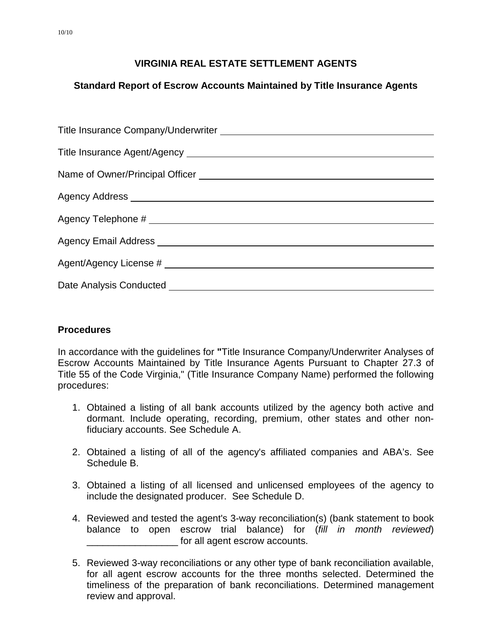## **Standard Report of Escrow Accounts Maintained by Title Insurance Agents**

### **Procedures**

In accordance with the guidelines for **"**Title Insurance Company/Underwriter Analyses of Escrow Accounts Maintained by Title Insurance Agents Pursuant to Chapter 27.3 of Title 55 of the Code Virginia," (Title Insurance Company Name) performed the following procedures:

- 1. Obtained a listing of all bank accounts utilized by the agency both active and dormant. Include operating, recording, premium, other states and other nonfiduciary accounts. See Schedule A.
- 2. Obtained a listing of all of the agency's affiliated companies and ABA's. See Schedule B.
- 3. Obtained a listing of all licensed and unlicensed employees of the agency to include the designated producer. See Schedule D.
- 4. Reviewed and tested the agent's 3-way reconciliation(s) (bank statement to book balance to open escrow trial balance) for (*fill in month reviewed*) for all agent escrow accounts.
- 5. Reviewed 3-way reconciliations or any other type of bank reconciliation available, for all agent escrow accounts for the three months selected. Determined the timeliness of the preparation of bank reconciliations. Determined management review and approval.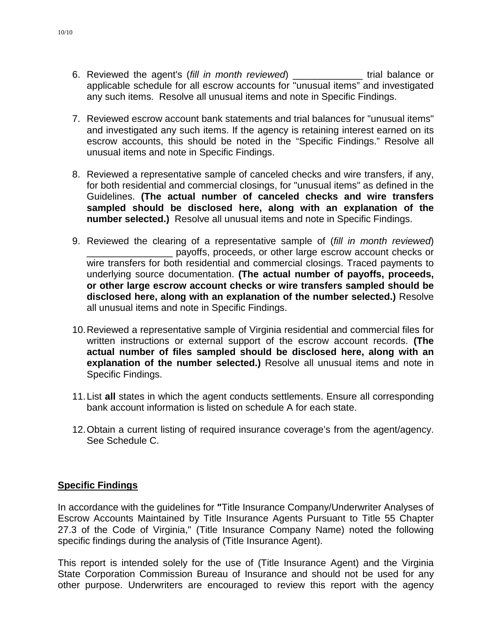- 6. Reviewed the agent's (*fill in month reviewed*) \_\_\_\_\_\_\_\_\_\_\_\_\_ trial balance or applicable schedule for all escrow accounts for "unusual items" and investigated any such items. Resolve all unusual items and note in Specific Findings.
- 7. Reviewed escrow account bank statements and trial balances for "unusual items" and investigated any such items. If the agency is retaining interest earned on its escrow accounts, this should be noted in the "Specific Findings." Resolve all unusual items and note in Specific Findings.
- 8. Reviewed a representative sample of canceled checks and wire transfers, if any, for both residential and commercial closings, for "unusual items" as defined in the Guidelines. **(The actual number of canceled checks and wire transfers sampled should be disclosed here, along with an explanation of the number selected.)** Resolve all unusual items and note in Specific Findings.
- 9. Reviewed the clearing of a representative sample of (*fill in month reviewed*) \_\_\_\_\_\_\_\_\_\_\_\_\_\_\_\_ payoffs, proceeds, or other large escrow account checks or wire transfers for both residential and commercial closings. Traced payments to underlying source documentation. **(The actual number of payoffs, proceeds, or other large escrow account checks or wire transfers sampled should be disclosed here, along with an explanation of the number selected.)** Resolve all unusual items and note in Specific Findings.
- 10.Reviewed a representative sample of Virginia residential and commercial files for written instructions or external support of the escrow account records. **(The actual number of files sampled should be disclosed here, along with an explanation of the number selected.)** Resolve all unusual items and note in Specific Findings.
- 11.List **all** states in which the agent conducts settlements. Ensure all corresponding bank account information is listed on schedule A for each state.
- 12.Obtain a current listing of required insurance coverage's from the agent/agency. See Schedule C.

#### **Specific Findings**

In accordance with the guidelines for **"**Title Insurance Company/Underwriter Analyses of Escrow Accounts Maintained by Title Insurance Agents Pursuant to Title 55 Chapter 27.3 of the Code of Virginia," (Title Insurance Company Name) noted the following specific findings during the analysis of (Title Insurance Agent).

This report is intended solely for the use of (Title Insurance Agent) and the Virginia State Corporation Commission Bureau of Insurance and should not be used for any other purpose. Underwriters are encouraged to review this report with the agency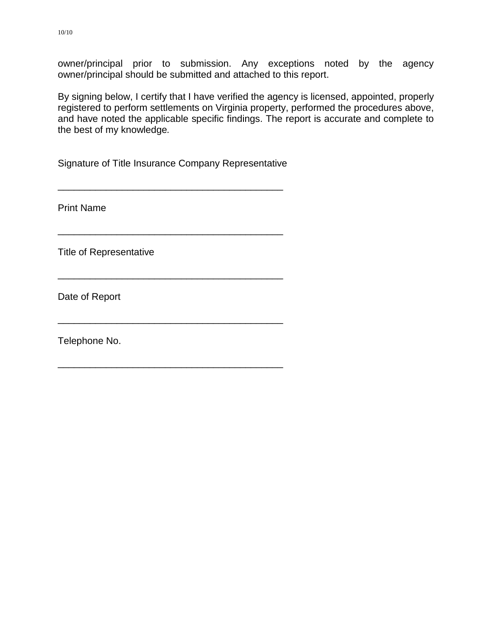owner/principal prior to submission. Any exceptions noted by the agency owner/principal should be submitted and attached to this report.

By signing below, I certify that I have verified the agency is licensed, appointed, properly registered to perform settlements on Virginia property, performed the procedures above, and have noted the applicable specific findings. The report is accurate and complete to the best of my knowledge*.*

Signature of Title Insurance Company Representative

\_\_\_\_\_\_\_\_\_\_\_\_\_\_\_\_\_\_\_\_\_\_\_\_\_\_\_\_\_\_\_\_\_\_\_\_\_\_\_\_\_\_

\_\_\_\_\_\_\_\_\_\_\_\_\_\_\_\_\_\_\_\_\_\_\_\_\_\_\_\_\_\_\_\_\_\_\_\_\_\_\_\_\_\_

\_\_\_\_\_\_\_\_\_\_\_\_\_\_\_\_\_\_\_\_\_\_\_\_\_\_\_\_\_\_\_\_\_\_\_\_\_\_\_\_\_\_

\_\_\_\_\_\_\_\_\_\_\_\_\_\_\_\_\_\_\_\_\_\_\_\_\_\_\_\_\_\_\_\_\_\_\_\_\_\_\_\_\_\_

\_\_\_\_\_\_\_\_\_\_\_\_\_\_\_\_\_\_\_\_\_\_\_\_\_\_\_\_\_\_\_\_\_\_\_\_\_\_\_\_\_\_

Print Name

Title of Representative

Date of Report

Telephone No.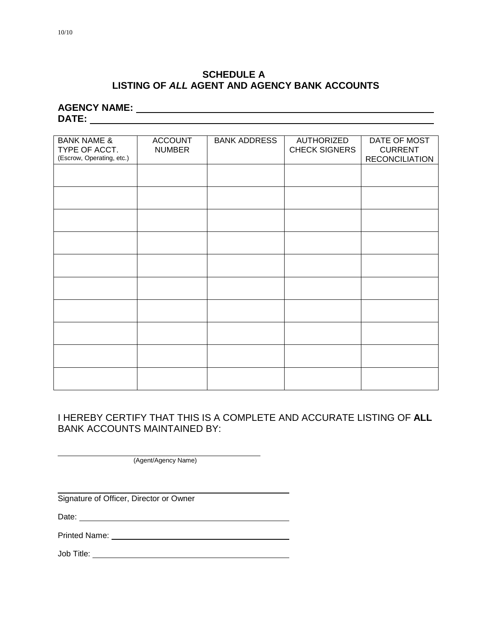### **SCHEDULE A LISTING OF** *ALL* **AGENT AND AGENCY BANK ACCOUNTS**

**AGENCY NAME: DATE:**

| <b>BANK NAME &amp;</b><br>TYPE OF ACCT.<br>(Escrow, Operating, etc.) | <b>ACCOUNT</b><br><b>NUMBER</b> | <b>BANK ADDRESS</b> | <b>AUTHORIZED</b><br><b>CHECK SIGNERS</b> | DATE OF MOST<br><b>CURRENT</b><br><b>RECONCILIATION</b> |
|----------------------------------------------------------------------|---------------------------------|---------------------|-------------------------------------------|---------------------------------------------------------|
|                                                                      |                                 |                     |                                           |                                                         |
|                                                                      |                                 |                     |                                           |                                                         |
|                                                                      |                                 |                     |                                           |                                                         |
|                                                                      |                                 |                     |                                           |                                                         |
|                                                                      |                                 |                     |                                           |                                                         |
|                                                                      |                                 |                     |                                           |                                                         |
|                                                                      |                                 |                     |                                           |                                                         |
|                                                                      |                                 |                     |                                           |                                                         |
|                                                                      |                                 |                     |                                           |                                                         |
|                                                                      |                                 |                     |                                           |                                                         |
|                                                                      |                                 |                     |                                           |                                                         |

### I HEREBY CERTIFY THAT THIS IS A COMPLETE AND ACCURATE LISTING OF **ALL**  BANK ACCOUNTS MAINTAINED BY:

(Agent/Agency Name)

Signature of Officer, Director or Owner

Date:

Printed Name: <u>Queenstand Communication</u>

Job Title: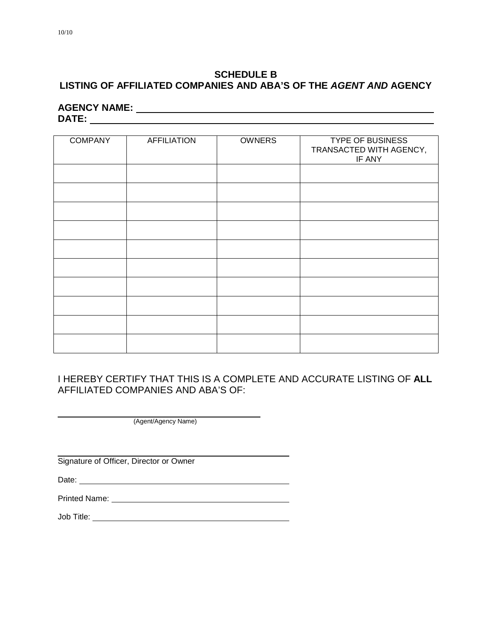### **SCHEDULE B LISTING OF AFFILIATED COMPANIES AND ABA'S OF THE** *AGENT AND* **AGENCY**

# **AGENCY NAME: DATE:**

| <b>COMPANY</b> | <b>AFFILIATION</b> | <b>OWNERS</b> | <b>TYPE OF BUSINESS</b><br>TRANSACTED WITH AGENCY,<br>IF ANY |
|----------------|--------------------|---------------|--------------------------------------------------------------|
|                |                    |               |                                                              |
|                |                    |               |                                                              |
|                |                    |               |                                                              |
|                |                    |               |                                                              |
|                |                    |               |                                                              |
|                |                    |               |                                                              |
|                |                    |               |                                                              |
|                |                    |               |                                                              |
|                |                    |               |                                                              |
|                |                    |               |                                                              |

### I HEREBY CERTIFY THAT THIS IS A COMPLETE AND ACCURATE LISTING OF **ALL**  AFFILIATED COMPANIES AND ABA'S OF:

(Agent/Agency Name)

Signature of Officer, Director or Owner

Date:

Printed Name:

Job Title: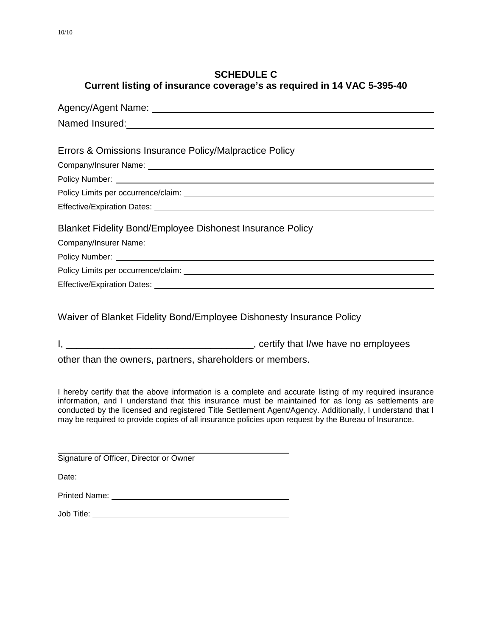### **SCHEDULE C Current listing of insurance coverage's as required in 14 VAC 5-395-40**

| Named Insured:<br><u> Named Insured:</u>                  |
|-----------------------------------------------------------|
|                                                           |
| Errors & Omissions Insurance Policy/Malpractice Policy    |
|                                                           |
|                                                           |
|                                                           |
|                                                           |
| Blanket Fidelity Bond/Employee Dishonest Insurance Policy |
|                                                           |
|                                                           |
|                                                           |
| <b>Effective/Expiration Dates:</b>                        |

Waiver of Blanket Fidelity Bond/Employee Dishonesty Insurance Policy

other than the owners, partners, shareholders or members.

I hereby certify that the above information is a complete and accurate listing of my required insurance information, and I understand that this insurance must be maintained for as long as settlements are conducted by the licensed and registered Title Settlement Agent/Agency. Additionally, I understand that I may be required to provide copies of all insurance policies upon request by the Bureau of Insurance.

Signature of Officer, Director or Owner

Date: <u>Date: Experimental and the set of the set of the set of the set of the set of the set of the set of the set of the set of the set of the set of the set of the set of the set of the set of the set of the set of the s</u>

Printed Name: Name: Name: Name: Name: Name: Name: Name: Name: Name: Name: Name: Name: Name: Name: Name: Name: Name: Name: Name: Name: Name: Name: Name: Name: Name: Name: Name: Name: Name: Name: Name: Name: Name: Name: Name

Job Title: